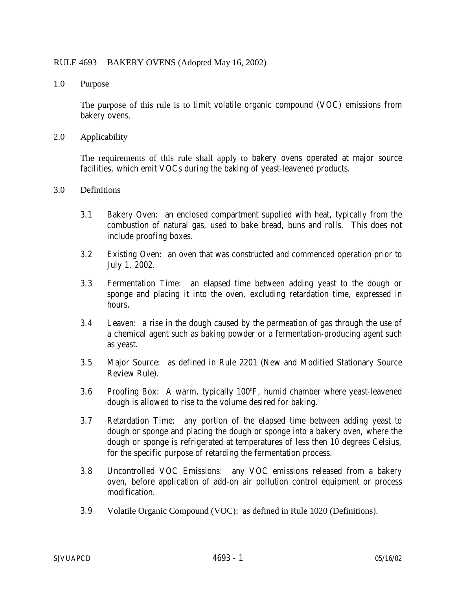## RULE 4693 BAKERY OVENS (Adopted May 16, 2002)

1.0 Purpose

 The purpose of this rule is to limit volatile organic compound (VOC) emissions from bakery ovens.

2.0 Applicability

 The requirements of this rule shall apply to bakery ovens operated at major source facilities, which emit VOCs during the baking of yeast-leavened products.

- 3.0 Definitions
	- 3.1 Bakery Oven: an enclosed compartment supplied with heat, typically from the combustion of natural gas, used to bake bread, buns and rolls. This does not include proofing boxes.
	- 3.2 Existing Oven: an oven that was constructed and commenced operation prior to July 1, 2002.
	- 3.3 Fermentation Time: an elapsed time between adding yeast to the dough or sponge and placing it into the oven, excluding retardation time, expressed in hours.
	- 3.4 Leaven: a rise in the dough caused by the permeation of gas through the use of a chemical agent such as baking powder or a fermentation-producing agent such as yeast.
	- 3.5 Major Source: as defined in Rule 2201 (New and Modified Stationary Source Review Rule).
	- 3.6 Proofing Box: A warm, typically 100°F, humid chamber where yeast-leavened dough is allowed to rise to the volume desired for baking.
	- 3.7 Retardation Time: any portion of the elapsed time between adding yeast to dough or sponge and placing the dough or sponge into a bakery oven, where the dough or sponge is refrigerated at temperatures of less then 10 degrees Celsius, for the specific purpose of retarding the fermentation process.
	- 3.8 Uncontrolled VOC Emissions: any VOC emissions released from a bakery oven, before application of add-on air pollution control equipment or process modification.
	- 3.9 Volatile Organic Compound (VOC): as defined in Rule 1020 (Definitions).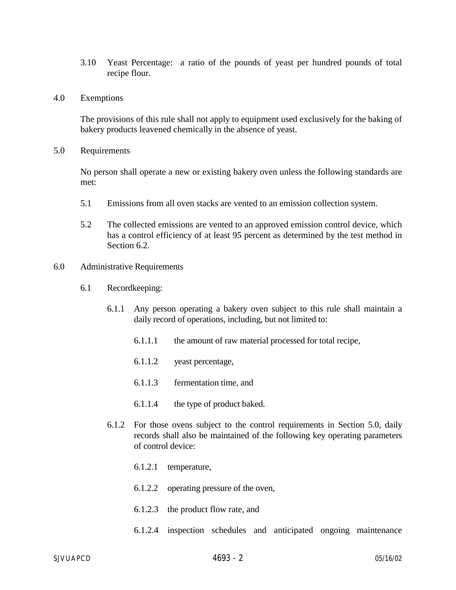- 3.10 Yeast Percentage: a ratio of the pounds of yeast per hundred pounds of total recipe flour.
- 4.0 Exemptions

The provisions of this rule shall not apply to equipment used exclusively for the baking of bakery products leavened chemically in the absence of yeast.

5.0 Requirements

No person shall operate a new or existing bakery oven unless the following standards are met:

- 5.1 Emissions from all oven stacks are vented to an emission collection system.
- 5.2 The collected emissions are vented to an approved emission control device, which has a control efficiency of at least 95 percent as determined by the test method in Section 6.2.
- 6.0 Administrative Requirements
	- 6.1 Recordkeeping:
		- 6.1.1 Any person operating a bakery oven subject to this rule shall maintain a daily record of operations, including, but not limited to:
			- 6.1.1.1 the amount of raw material processed for total recipe,
			- 6.1.1.2 yeast percentage,
			- 6.1.1.3 fermentation time, and
			- 6.1.1.4 the type of product baked.
		- 6.1.2 For those ovens subject to the control requirements in Section 5.0, daily records shall also be maintained of the following key operating parameters of control device:
			- 6.1.2.1 temperature,
			- 6.1.2.2 operating pressure of the oven,
			- 6.1.2.3 the product flow rate, and
			- 6.1.2.4 inspection schedules and anticipated ongoing maintenance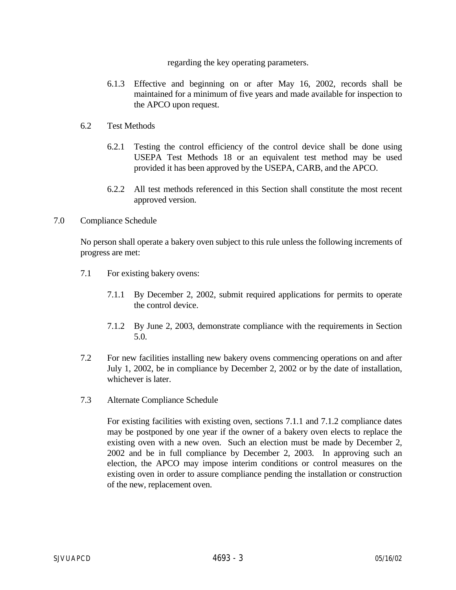## regarding the key operating parameters.

- 6.1.3 Effective and beginning on or after May 16, 2002, records shall be maintained for a minimum of five years and made available for inspection to the APCO upon request.
- 6.2 Test Methods
	- 6.2.1 Testing the control efficiency of the control device shall be done using USEPA Test Methods 18 or an equivalent test method may be used provided it has been approved by the USEPA, CARB, and the APCO.
	- 6.2.2 All test methods referenced in this Section shall constitute the most recent approved version.
- 7.0 Compliance Schedule

No person shall operate a bakery oven subject to this rule unless the following increments of progress are met:

- 7.1 For existing bakery ovens:
	- 7.1.1 By December 2, 2002, submit required applications for permits to operate the control device.
	- 7.1.2 By June 2, 2003, demonstrate compliance with the requirements in Section 5.0.
- 7.2 For new facilities installing new bakery ovens commencing operations on and after July 1, 2002, be in compliance by December 2, 2002 or by the date of installation, whichever is later.
- 7.3 Alternate Compliance Schedule

For existing facilities with existing oven, sections 7.1.1 and 7.1.2 compliance dates may be postponed by one year if the owner of a bakery oven elects to replace the existing oven with a new oven. Such an election must be made by December 2, 2002 and be in full compliance by December 2, 2003. In approving such an election, the APCO may impose interim conditions or control measures on the existing oven in order to assure compliance pending the installation or construction of the new, replacement oven.